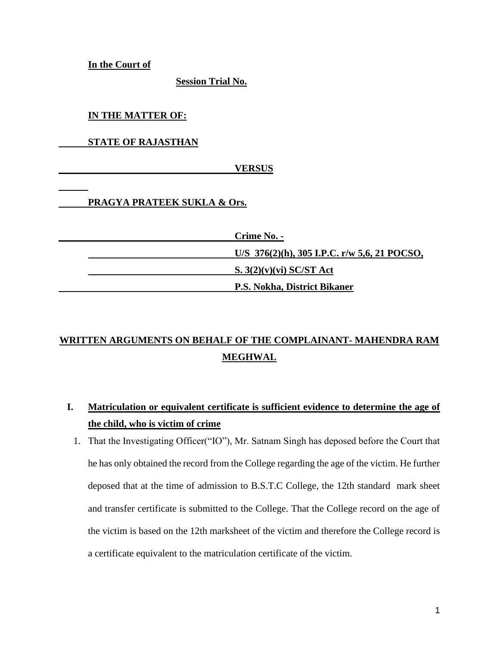**In the Court of**

**Session Trial No.**

**IN THE MATTER OF:**

**STATE OF RAJASTHAN**

 **VERSUS**

# **PRAGYA PRATEEK SUKLA & Ors.**

| Crime No. -                                       |
|---------------------------------------------------|
| U/S $376(2)(h)$ , $305$ I.P.C. r/w 5,6, 21 POCSO, |
| S. $3(2)(v)(vi)$ SC/ST Act                        |
| <b>P.S. Nokha, District Bikaner</b>               |

# **WRITTEN ARGUMENTS ON BEHALF OF THE COMPLAINANT- MAHENDRA RAM MEGHWAL**

- **I. Matriculation or equivalent certificate is sufficient evidence to determine the age of the child, who is victim of crime**
	- 1. That the Investigating Officer("IO"), Mr. Satnam Singh has deposed before the Court that he has only obtained the record from the College regarding the age of the victim. He further deposed that at the time of admission to B.S.T.C College, the 12th standard mark sheet and transfer certificate is submitted to the College. That the College record on the age of the victim is based on the 12th marksheet of the victim and therefore the College record is a certificate equivalent to the matriculation certificate of the victim.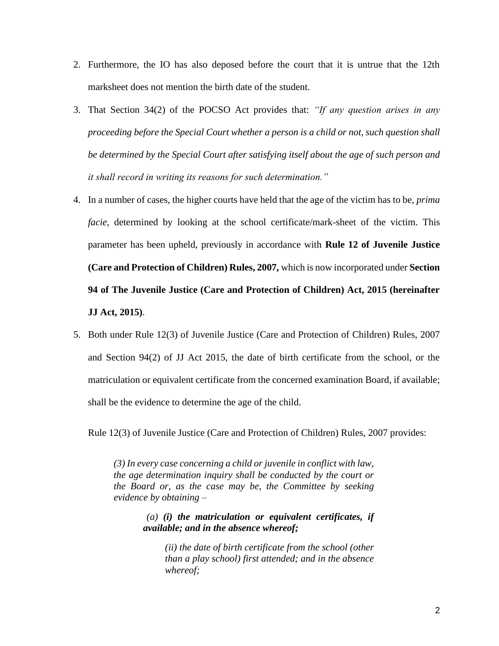- 2. Furthermore, the IO has also deposed before the court that it is untrue that the 12th marksheet does not mention the birth date of the student.
- 3. That Section 34(2) of the POCSO Act provides that: *"If any question arises in any proceeding before the Special Court whether a person is a child or not, such question shall be determined by the Special Court after satisfying itself about the age of such person and it shall record in writing its reasons for such determination."*
- 4. In a number of cases, the higher courts have held that the age of the victim has to be, *prima facie,* determined by looking at the school certificate/mark-sheet of the victim. This parameter has been upheld, previously in accordance with **Rule 12 of Juvenile Justice (Care and Protection of Children) Rules, 2007,** which is now incorporated under **Section 94 of The Juvenile Justice (Care and Protection of Children) Act, 2015 (hereinafter JJ Act, 2015)**.
- 5. Both under Rule 12(3) of Juvenile Justice (Care and Protection of Children) Rules, 2007 and Section 94(2) of JJ Act 2015, the date of birth certificate from the school, or the matriculation or equivalent certificate from the concerned examination Board, if available; shall be the evidence to determine the age of the child.

Rule 12(3) of Juvenile Justice (Care and Protection of Children) Rules, 2007 provides:

*(3) In every case concerning a child or juvenile in conflict with law, the age determination inquiry shall be conducted by the court or the Board or, as the case may be, the Committee by seeking evidence by obtaining –*

> *(a) (i) the matriculation or equivalent certificates, if available; and in the absence whereof;*

*(ii) the date of birth certificate from the school (other than a play school) first attended; and in the absence whereof;*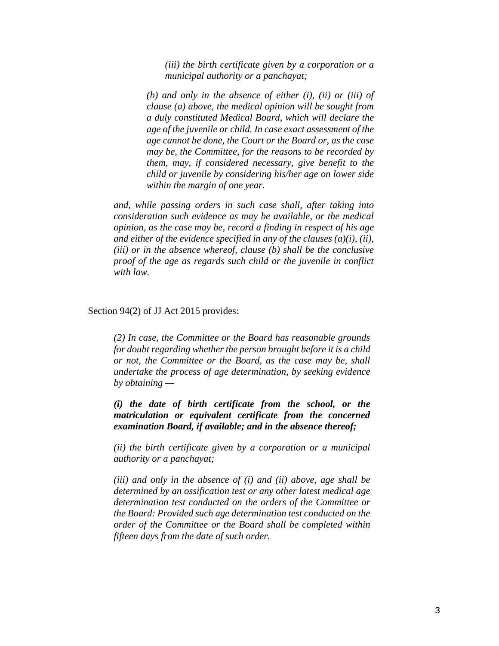*(iii) the birth certificate given by a corporation or a municipal authority or a panchayat;* 

*(b) and only in the absence of either (i), (ii) or (iii) of clause (a) above, the medical opinion will be sought from a duly constituted Medical Board, which will declare the age of the juvenile or child. In case exact assessment of the age cannot be done, the Court or the Board or, as the case may be, the Committee, for the reasons to be recorded by them, may, if considered necessary, give benefit to the child or juvenile by considering his/her age on lower side within the margin of one year.* 

*and, while passing orders in such case shall, after taking into consideration such evidence as may be available, or the medical opinion, as the case may be, record a finding in respect of his age and either of the evidence specified in any of the clauses (a)(i), (ii), (iii) or in the absence whereof, clause (b) shall be the conclusive proof of the age as regards such child or the juvenile in conflict with law.* 

Section 94(2) of JJ Act 2015 provides:

*(2) In case, the Committee or the Board has reasonable grounds for doubt regarding whether the person brought before it is a child or not, the Committee or the Board, as the case may be, shall undertake the process of age determination, by seeking evidence by obtaining —*

*(i) the date of birth certificate from the school, or the matriculation or equivalent certificate from the concerned examination Board, if available; and in the absence thereof;*

*(ii) the birth certificate given by a corporation or a municipal authority or a panchayat;*

*(iii) and only in the absence of (i) and (ii) above, age shall be determined by an ossification test or any other latest medical age determination test conducted on the orders of the Committee or the Board: Provided such age determination test conducted on the order of the Committee or the Board shall be completed within fifteen days from the date of such order.*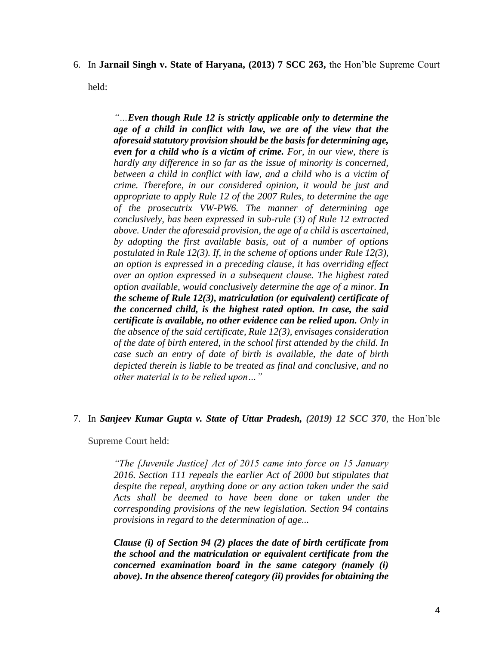6. In **Jarnail Singh v. State of Haryana, (2013) 7 SCC 263,** the Hon'ble Supreme Court

held:

*"…Even though Rule 12 is strictly applicable only to determine the*  age of a child in conflict with law, we are of the view that the *aforesaid statutory provision should be the basis for determining age, even for a child who is a victim of crime. For, in our view, there is hardly any difference in so far as the issue of minority is concerned, between a child in conflict with law, and a child who is a victim of crime. Therefore, in our considered opinion, it would be just and appropriate to apply Rule 12 of the 2007 Rules, to determine the age of the prosecutrix VW-PW6. The manner of determining age conclusively, has been expressed in sub-rule (3) of Rule 12 extracted above. Under the aforesaid provision, the age of a child is ascertained, by adopting the first available basis, out of a number of options postulated in Rule 12(3). If, in the scheme of options under Rule 12(3), an option is expressed in a preceding clause, it has overriding effect over an option expressed in a subsequent clause. The highest rated option available, would conclusively determine the age of a minor. In the scheme of Rule 12(3), matriculation (or equivalent) certificate of the concerned child, is the highest rated option. In case, the said certificate is available, no other evidence can be relied upon. Only in the absence of the said certificate, Rule 12(3), envisages consideration of the date of birth entered, in the school first attended by the child. In case such an entry of date of birth is available, the date of birth depicted therein is liable to be treated as final and conclusive, and no other material is to be relied upon…"*

#### 7. In *Sanjeev Kumar Gupta v. State of Uttar Pradesh, (2019) 12 SCC 370,* the Hon'ble

Supreme Court held:

*"The [Juvenile Justice] Act of 2015 came into force on 15 January 2016. Section 111 repeals the earlier Act of 2000 but stipulates that despite the repeal, anything done or any action taken under the said Acts shall be deemed to have been done or taken under the corresponding provisions of the new legislation. Section 94 contains provisions in regard to the determination of age...*

*Clause (i) of Section 94 (2) places the date of birth certificate from the school and the matriculation or equivalent certificate from the concerned examination board in the same category (namely (i) above). In the absence thereof category (ii) provides for obtaining the*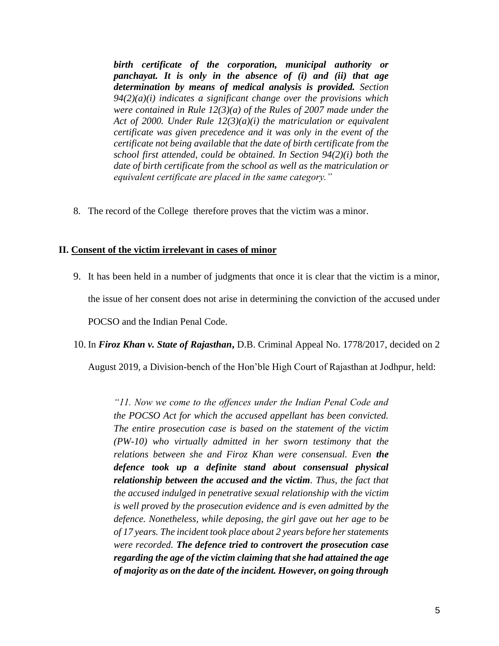*birth certificate of the corporation, municipal authority or panchayat. It is only in the absence of (i) and (ii) that age determination by means of medical analysis is provided. Section 94(2)(a)(i) indicates a significant change over the provisions which were contained in Rule 12(3)(a) of the Rules of 2007 made under the Act of 2000. Under Rule 12(3)(a)(i) the matriculation or equivalent certificate was given precedence and it was only in the event of the certificate not being available that the date of birth certificate from the school first attended, could be obtained. In Section 94(2)(i) both the date of birth certificate from the school as well as the matriculation or equivalent certificate are placed in the same category."*

8. The record of the College therefore proves that the victim was a minor.

#### **II. Consent of the victim irrelevant in cases of minor**

9. It has been held in a number of judgments that once it is clear that the victim is a minor, the issue of her consent does not arise in determining the conviction of the accused under POCSO and the Indian Penal Code.

10. In *Firoz Khan v. State of Rajasthan***,** D.B. Criminal Appeal No. 1778/2017, decided on 2

August 2019, a Division-bench of the Hon'ble High Court of Rajasthan at Jodhpur, held:

*"11. Now we come to the offences under the Indian Penal Code and the POCSO Act for which the accused appellant has been convicted. The entire prosecution case is based on the statement of the victim (PW-10) who virtually admitted in her sworn testimony that the relations between she and Firoz Khan were consensual. Even the defence took up a definite stand about consensual physical relationship between the accused and the victim. Thus, the fact that the accused indulged in penetrative sexual relationship with the victim is well proved by the prosecution evidence and is even admitted by the defence. Nonetheless, while deposing, the girl gave out her age to be of 17 years. The incident took place about 2 years before her statements were recorded. The defence tried to controvert the prosecution case regarding the age of the victim claiming that she had attained the age of majority as on the date of the incident. However, on going through*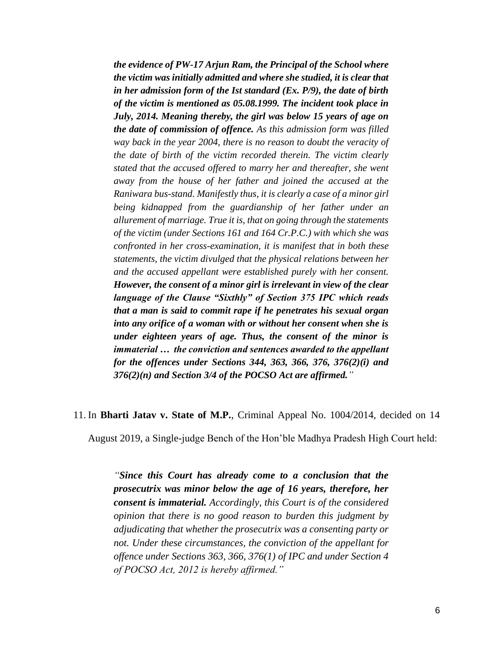*the evidence of PW-17 Arjun Ram, the Principal of the School where the victim was initially admitted and where she studied, it is clear that in her admission form of the Ist standard (Ex. P/9), the date of birth of the victim is mentioned as 05.08.1999. The incident took place in July, 2014. Meaning thereby, the girl was below 15 years of age on the date of commission of offence. As this admission form was filled way back in the year 2004, there is no reason to doubt the veracity of the date of birth of the victim recorded therein. The victim clearly stated that the accused offered to marry her and thereafter, she went away from the house of her father and joined the accused at the Raniwara bus-stand. Manifestly thus, it is clearly a case of a minor girl being kidnapped from the guardianship of her father under an allurement of marriage. True it is, that on going through the statements of the victim (under Sections 161 and 164 Cr.P.C.) with which she was confronted in her cross-examination, it is manifest that in both these statements, the victim divulged that the physical relations between her and the accused appellant were established purely with her consent. However, the consent of a minor girl is irrelevant in view of the clear language of the Clause "Sixthly" of Section 375 IPC which reads that a man is said to commit rape if he penetrates his sexual organ into any orifice of a woman with or without her consent when she is under eighteen years of age. Thus, the consent of the minor is immaterial … the conviction and sentences awarded to the appellant for the offences under Sections 344, 363, 366, 376, 376(2)(i) and 376(2)(n) and Section 3/4 of the POCSO Act are affirmed."*

#### 11. In **Bharti Jatav v. State of M.P.**, Criminal Appeal No. 1004/2014, decided on 14

August 2019, a Single-judge Bench of the Hon'ble Madhya Pradesh High Court held:

*"Since this Court has already come to a conclusion that the prosecutrix was minor below the age of 16 years, therefore, her consent is immaterial. Accordingly, this Court is of the considered opinion that there is no good reason to burden this judgment by adjudicating that whether the prosecutrix was a consenting party or not. Under these circumstances, the conviction of the appellant for offence under Sections 363, 366, 376(1) of IPC and under Section 4 of POCSO Act, 2012 is hereby affirmed."*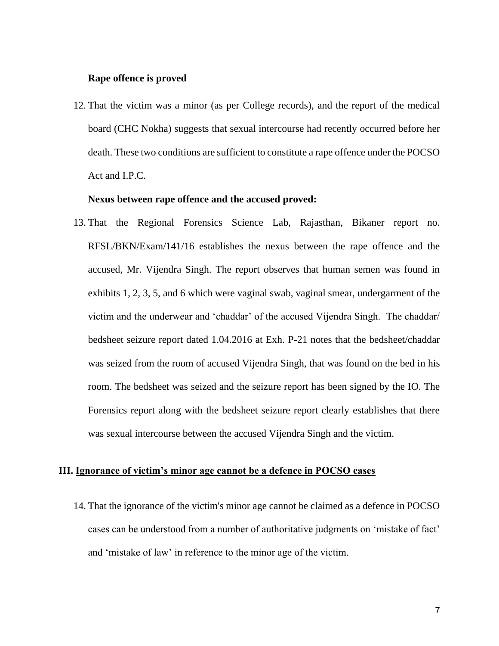#### **Rape offence is proved**

12. That the victim was a minor (as per College records), and the report of the medical board (CHC Nokha) suggests that sexual intercourse had recently occurred before her death. These two conditions are sufficient to constitute a rape offence under the POCSO Act and I.P.C.

# **Nexus between rape offence and the accused proved:**

13. That the Regional Forensics Science Lab, Rajasthan, Bikaner report no. RFSL/BKN/Exam/141/16 establishes the nexus between the rape offence and the accused, Mr. Vijendra Singh. The report observes that human semen was found in exhibits 1, 2, 3, 5, and 6 which were vaginal swab, vaginal smear, undergarment of the victim and the underwear and 'chaddar' of the accused Vijendra Singh. The chaddar/ bedsheet seizure report dated 1.04.2016 at Exh. P-21 notes that the bedsheet/chaddar was seized from the room of accused Vijendra Singh, that was found on the bed in his room. The bedsheet was seized and the seizure report has been signed by the IO. The Forensics report along with the bedsheet seizure report clearly establishes that there was sexual intercourse between the accused Vijendra Singh and the victim.

# **III. Ignorance of victim's minor age cannot be a defence in POCSO cases**

14. That the ignorance of the victim's minor age cannot be claimed as a defence in POCSO cases can be understood from a number of authoritative judgments on 'mistake of fact' and 'mistake of law' in reference to the minor age of the victim.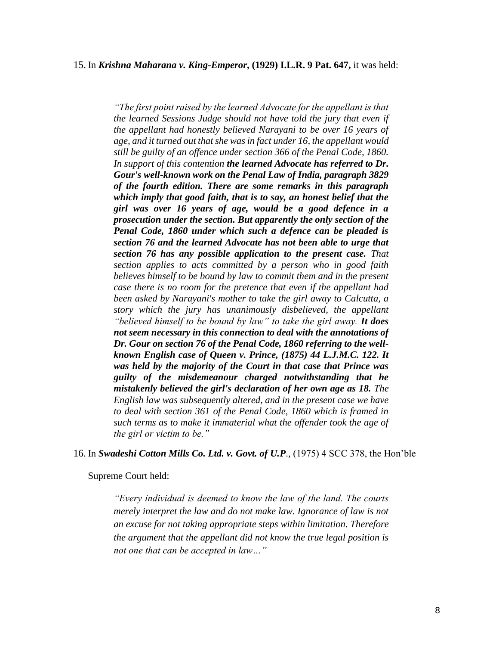#### 15. In *Krishna Maharana v. King-Emperor***, (1929) I.L.R. 9 Pat. 647,** it was held:

*"The first point raised by the learned Advocate for the appellant is that the learned Sessions Judge should not have told the jury that even if the appellant had honestly believed Narayani to be over 16 years of age, and it turned out that she was in fact under 16, the appellant would still be guilty of an offence under section 366 of the Penal Code, 1860. In support of this contention the learned Advocate has referred to Dr. Gour's well-known work on the Penal Law of India, paragraph 3829 of the fourth edition. There are some remarks in this paragraph which imply that good faith, that is to say, an honest belief that the girl was over 16 years of age, would be a good defence in a prosecution under the section. But apparently the only section of the Penal Code, 1860 under which such a defence can be pleaded is section 76 and the learned Advocate has not been able to urge that section 76 has any possible application to the present case. That section applies to acts committed by a person who in good faith believes himself to be bound by law to commit them and in the present case there is no room for the pretence that even if the appellant had been asked by Narayani's mother to take the girl away to Calcutta, a story which the jury has unanimously disbelieved, the appellant "believed himself to be bound by law" to take the girl away. It does not seem necessary in this connection to deal with the annotations of Dr. Gour on section 76 of the Penal Code, 1860 referring to the wellknown English case of Queen v. Prince, (1875) 44 L.J.M.C. 122. It was held by the majority of the Court in that case that Prince was guilty of the misdemeanour charged notwithstanding that he mistakenly believed the girl's declaration of her own age as 18. The English law was subsequently altered, and in the present case we have to deal with section 361 of the Penal Code, 1860 which is framed in such terms as to make it immaterial what the offender took the age of the girl or victim to be."*

#### 16. In *Swadeshi Cotton Mills Co. Ltd. v. Govt. of U.P*., (1975) 4 SCC 378, the Hon'ble

Supreme Court held:

*"Every individual is deemed to know the law of the land. The courts merely interpret the law and do not make law. Ignorance of law is not an excuse for not taking appropriate steps within limitation. Therefore the argument that the appellant did not know the true legal position is not one that can be accepted in law…"*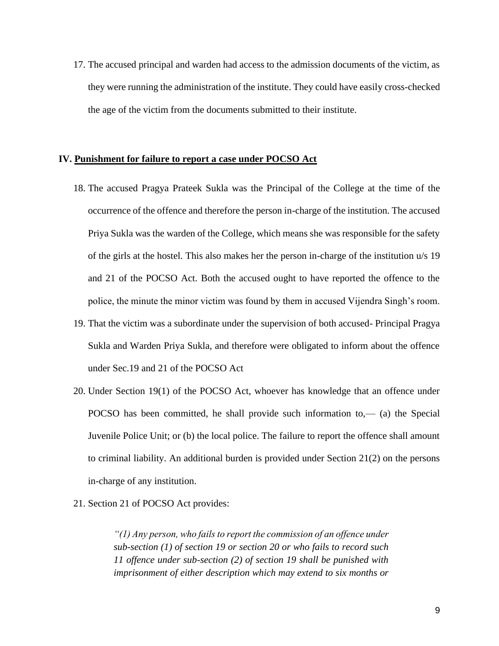17. The accused principal and warden had access to the admission documents of the victim, as they were running the administration of the institute. They could have easily cross-checked the age of the victim from the documents submitted to their institute.

#### **IV. Punishment for failure to report a case under POCSO Act**

- 18. The accused Pragya Prateek Sukla was the Principal of the College at the time of the occurrence of the offence and therefore the person in-charge of the institution. The accused Priya Sukla was the warden of the College, which means she was responsible for the safety of the girls at the hostel. This also makes her the person in-charge of the institution u/s 19 and 21 of the POCSO Act. Both the accused ought to have reported the offence to the police, the minute the minor victim was found by them in accused Vijendra Singh's room.
- 19. That the victim was a subordinate under the supervision of both accused- Principal Pragya Sukla and Warden Priya Sukla, and therefore were obligated to inform about the offence under Sec.19 and 21 of the POCSO Act
- 20. Under Section 19(1) of the POCSO Act, whoever has knowledge that an offence under POCSO has been committed, he shall provide such information to,— (a) the Special Juvenile Police Unit; or (b) the local police. The failure to report the offence shall amount to criminal liability. An additional burden is provided under Section 21(2) on the persons in-charge of any institution.
- 21. Section 21 of POCSO Act provides:

*"(1) Any person, who fails to report the commission of an offence under sub-section (1) of section 19 or section 20 or who fails to record such 11 offence under sub-section (2) of section 19 shall be punished with imprisonment of either description which may extend to six months or*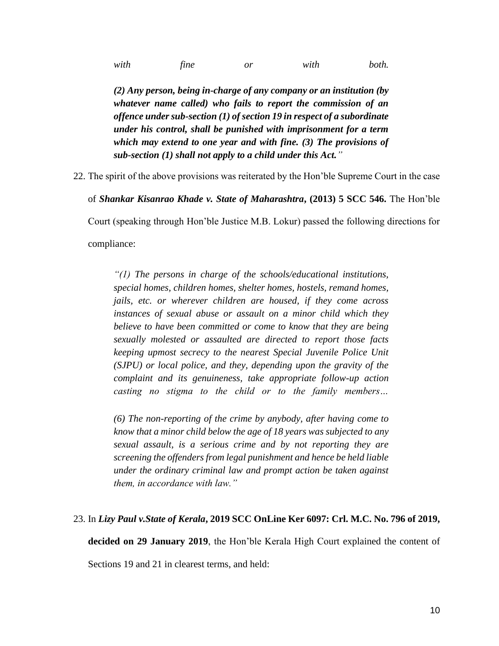*with fine or with both.* 

*(2) Any person, being in-charge of any company or an institution (by whatever name called) who fails to report the commission of an offence under sub-section (1) of section 19 in respect of a subordinate under his control, shall be punished with imprisonment for a term which may extend to one year and with fine. (3) The provisions of sub-section (1) shall not apply to a child under this Act."*

22. The spirit of the above provisions was reiterated by the Hon'ble Supreme Court in the case

of *Shankar Kisanrao Khade v. State of Maharashtra***, (2013) 5 SCC 546.** The Hon'ble Court (speaking through Hon'ble Justice M.B. Lokur) passed the following directions for

compliance:

*"(1) The persons in charge of the schools/educational institutions, special homes, children homes, shelter homes, hostels, remand homes, jails, etc. or wherever children are housed, if they come across instances of sexual abuse or assault on a minor child which they believe to have been committed or come to know that they are being sexually molested or assaulted are directed to report those facts keeping upmost secrecy to the nearest Special Juvenile Police Unit (SJPU) or local police, and they, depending upon the gravity of the complaint and its genuineness, take appropriate follow-up action casting no stigma to the child or to the family members…*

*(6) The non-reporting of the crime by anybody, after having come to know that a minor child below the age of 18 years was subjected to any sexual assault, is a serious crime and by not reporting they are screening the offenders from legal punishment and hence be held liable under the ordinary criminal law and prompt action be taken against them, in accordance with law."*

# 23. In *Lizy Paul v.State of Kerala***, 2019 SCC OnLine Ker 6097: Crl. M.C. No. 796 of 2019,**

**decided on 29 January 2019**, the Hon'ble Kerala High Court explained the content of

Sections 19 and 21 in clearest terms, and held: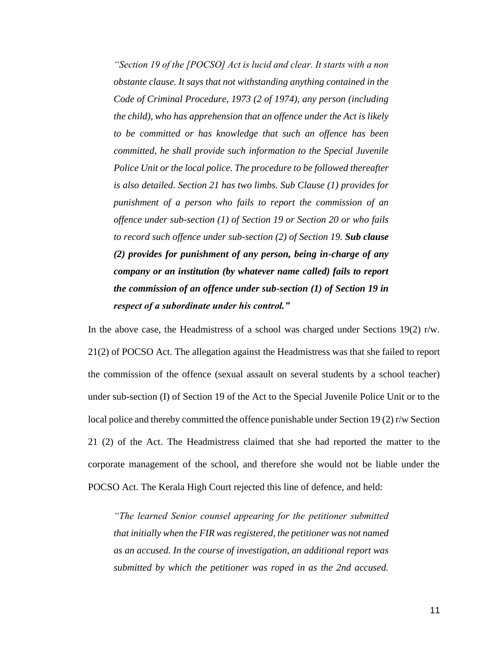*"Section 19 of the [POCSO] Act is lucid and clear. It starts with a non obstante clause. It says that not withstanding anything contained in the Code of Criminal Procedure, 1973 (2 of 1974), any person (including the child), who has apprehension that an offence under the Act is likely to be committed or has knowledge that such an offence has been committed, he shall provide such information to the Special Juvenile Police Unit or the local police. The procedure to be followed thereafter is also detailed. Section 21 has two limbs. Sub Clause (1) provides for punishment of a person who fails to report the commission of an offence under sub-section (1) of Section 19 or Section 20 or who fails to record such offence under sub-section (2) of Section 19. Sub clause (2) provides for punishment of any person, being in-charge of any company or an institution (by whatever name called) fails to report the commission of an offence under sub-section (1) of Section 19 in respect of a subordinate under his control."*

In the above case, the Headmistress of a school was charged under Sections 19(2) r/w. 21(2) of POCSO Act. The allegation against the Headmistress was that she failed to report the commission of the offence (sexual assault on several students by a school teacher) under sub-section (I) of Section 19 of the Act to the Special Juvenile Police Unit or to the local police and thereby committed the offence punishable under Section 19 (2) r/w Section 21 (2) of the Act. The Headmistress claimed that she had reported the matter to the corporate management of the school, and therefore she would not be liable under the POCSO Act. The Kerala High Court rejected this line of defence, and held:

*"The learned Senior counsel appearing for the petitioner submitted that initially when the FIR was registered, the petitioner was not named as an accused. In the course of investigation, an additional report was submitted by which the petitioner was roped in as the 2nd accused.*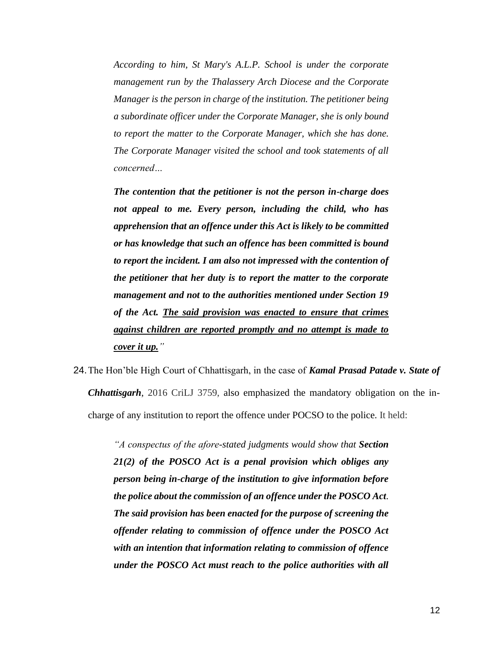*According to him, St Mary's A.L.P. School is under the corporate management run by the Thalassery Arch Diocese and the Corporate Manager is the person in charge of the institution. The petitioner being a subordinate officer under the Corporate Manager, she is only bound to report the matter to the Corporate Manager, which she has done. The Corporate Manager visited the school and took statements of all concerned…*

*The contention that the petitioner is not the person in-charge does not appeal to me. Every person, including the child, who has apprehension that an offence under this Act is likely to be committed or has knowledge that such an offence has been committed is bound to report the incident. I am also not impressed with the contention of the petitioner that her duty is to report the matter to the corporate management and not to the authorities mentioned under Section 19 of the Act. The said provision was enacted to ensure that crimes against children are reported promptly and no attempt is made to cover it up."*

24.The Hon'ble High Court of Chhattisgarh, in the case of *Kamal Prasad Patade v. State of Chhattisgarh*, 2016 CriLJ 3759, also emphasized the mandatory obligation on the incharge of any institution to report the offence under POCSO to the police. It held:

> *"A conspectus of the afore-stated judgments would show that Section 21(2) of the POSCO Act is a penal provision which obliges any person being in-charge of the institution to give information before the police about the commission of an offence under the POSCO Act. The said provision has been enacted for the purpose of screening the offender relating to commission of offence under the POSCO Act with an intention that information relating to commission of offence under the POSCO Act must reach to the police authorities with all*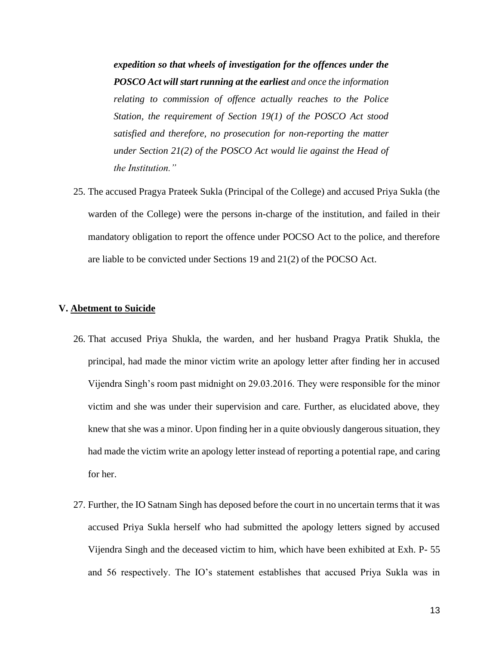*expedition so that wheels of investigation for the offences under the POSCO Act will start running at the earliest and once the information relating to commission of offence actually reaches to the Police Station, the requirement of Section 19(1) of the POSCO Act stood satisfied and therefore, no prosecution for non-reporting the matter under Section 21(2) of the POSCO Act would lie against the Head of the Institution."*

25. The accused Pragya Prateek Sukla (Principal of the College) and accused Priya Sukla (the warden of the College) were the persons in-charge of the institution, and failed in their mandatory obligation to report the offence under POCSO Act to the police, and therefore are liable to be convicted under Sections 19 and 21(2) of the POCSO Act.

#### **V. Abetment to Suicide**

- 26. That accused Priya Shukla, the warden, and her husband Pragya Pratik Shukla, the principal, had made the minor victim write an apology letter after finding her in accused Vijendra Singh's room past midnight on 29.03.2016. They were responsible for the minor victim and she was under their supervision and care. Further, as elucidated above, they knew that she was a minor. Upon finding her in a quite obviously dangerous situation, they had made the victim write an apology letter instead of reporting a potential rape, and caring for her.
- 27. Further, the IO Satnam Singh has deposed before the court in no uncertain terms that it was accused Priya Sukla herself who had submitted the apology letters signed by accused Vijendra Singh and the deceased victim to him, which have been exhibited at Exh. P- 55 and 56 respectively. The IO's statement establishes that accused Priya Sukla was in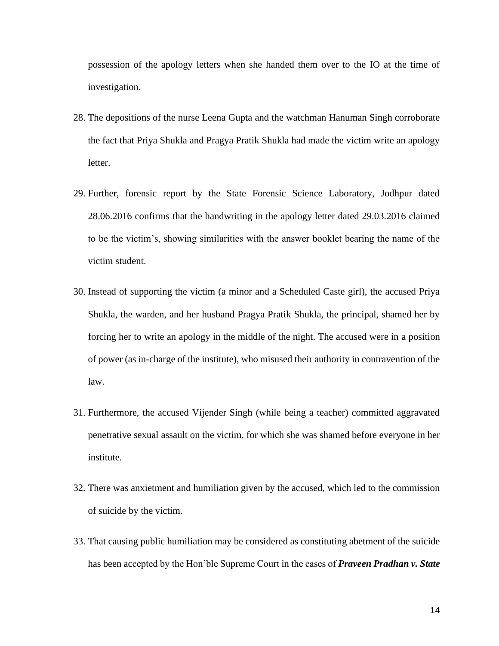possession of the apology letters when she handed them over to the IO at the time of investigation.

- 28. The depositions of the nurse Leena Gupta and the watchman Hanuman Singh corroborate the fact that Priya Shukla and Pragya Pratik Shukla had made the victim write an apology letter.
- 29. Further, forensic report by the State Forensic Science Laboratory, Jodhpur dated 28.06.2016 confirms that the handwriting in the apology letter dated 29.03.2016 claimed to be the victim's, showing similarities with the answer booklet bearing the name of the victim student.
- 30. Instead of supporting the victim (a minor and a Scheduled Caste girl), the accused Priya Shukla, the warden, and her husband Pragya Pratik Shukla, the principal, shamed her by forcing her to write an apology in the middle of the night. The accused were in a position of power (as in-charge of the institute), who misused their authority in contravention of the law.
- 31. Furthermore, the accused Vijender Singh (while being a teacher) committed aggravated penetrative sexual assault on the victim, for which she was shamed before everyone in her institute.
- 32. There was anxietment and humiliation given by the accused, which led to the commission of suicide by the victim.
- 33. That causing public humiliation may be considered as constituting abetment of the suicide has been accepted by the Hon'ble Supreme Court in the cases of *Praveen Pradhan v. State*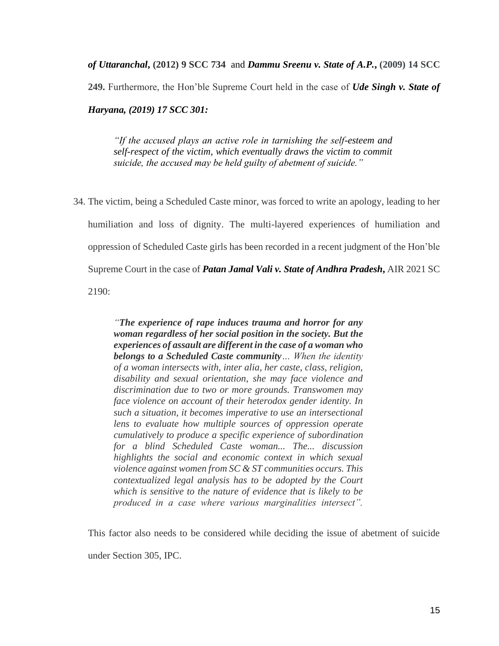*of Uttaranchal***, (2012) 9 SCC 734** and *Dammu Sreenu v. State of A.P.***, (2009) 14 SCC** 

**249.** Furthermore, the Hon'ble Supreme Court held in the case of *Ude Singh v. State of* 

*Haryana, (2019) 17 SCC 301:* 

*"If the accused plays an active role in tarnishing the self-esteem and self-respect of the victim, which eventually draws the victim to commit suicide, the accused may be held guilty of abetment of suicide."*

34. The victim, being a Scheduled Caste minor, was forced to write an apology, leading to her humiliation and loss of dignity. The multi-layered experiences of humiliation and oppression of Scheduled Caste girls has been recorded in a recent judgment of the Hon'ble Supreme Court in the case of *Patan Jamal Vali v. State of Andhra Pradesh***,** AIR 2021 SC 2190:

> *"The experience of rape induces trauma and horror for any woman regardless of her social position in the society. But the experiences of assault are different in the case of a woman who belongs to a Scheduled Caste community… When the identity of a woman intersects with, inter alia, her caste, class, religion, disability and sexual orientation, she may face violence and discrimination due to two or more grounds. Transwomen may face violence on account of their heterodox gender identity. In such a situation, it becomes imperative to use an intersectional lens to evaluate how multiple sources of oppression operate cumulatively to produce a specific experience of subordination for a blind Scheduled Caste woman... The... discussion highlights the social and economic context in which sexual violence against women from SC & ST communities occurs. This contextualized legal analysis has to be adopted by the Court which is sensitive to the nature of evidence that is likely to be produced in a case where various marginalities intersect".*

This factor also needs to be considered while deciding the issue of abetment of suicide under Section 305, IPC.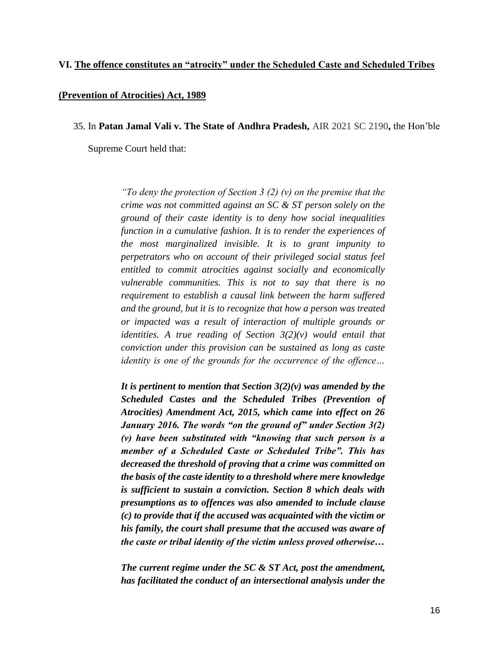#### **VI. The offence constitutes an "atrocity" under the Scheduled Caste and Scheduled Tribes**

#### **(Prevention of Atrocities) Act, 1989**

35. In **Patan Jamal Vali v. The State of Andhra Pradesh,** AIR 2021 SC 2190**,** the Hon'ble

Supreme Court held that:

*"To deny the protection of Section 3 (2) (v) on the premise that the crime was not committed against an SC & ST person solely on the ground of their caste identity is to deny how social inequalities function in a cumulative fashion. It is to render the experiences of the most marginalized invisible. It is to grant impunity to perpetrators who on account of their privileged social status feel entitled to commit atrocities against socially and economically vulnerable communities. This is not to say that there is no requirement to establish a causal link between the harm suffered and the ground, but it is to recognize that how a person was treated or impacted was a result of interaction of multiple grounds or identities. A true reading of Section 3(2)(v) would entail that conviction under this provision can be sustained as long as caste identity is one of the grounds for the occurrence of the offence…*

*It is pertinent to mention that Section 3(2)(v) was amended by the Scheduled Castes and the Scheduled Tribes (Prevention of Atrocities) Amendment Act, 2015, which came into effect on 26 January 2016. The words "on the ground of" under Section 3(2) (v) have been substituted with "knowing that such person is a member of a Scheduled Caste or Scheduled Tribe". This has decreased the threshold of proving that a crime was committed on the basis of the caste identity to a threshold where mere knowledge is sufficient to sustain a conviction. Section 8 which deals with presumptions as to offences was also amended to include clause (c) to provide that if the accused was acquainted with the victim or his family, the court shall presume that the accused was aware of the caste or tribal identity of the victim unless proved otherwise…*

*The current regime under the SC & ST Act, post the amendment, has facilitated the conduct of an intersectional analysis under the*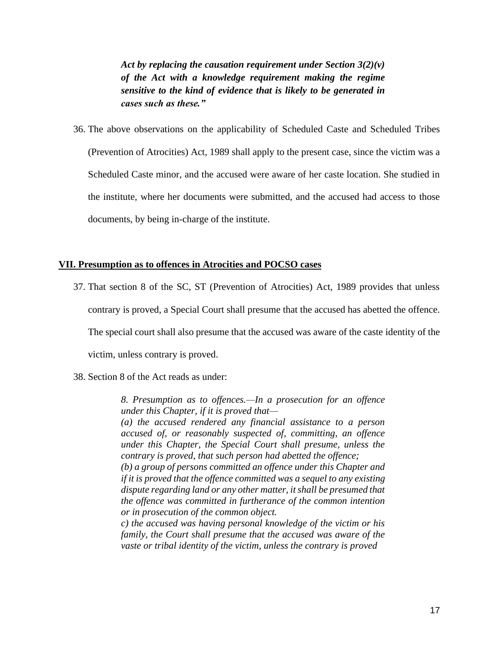*Act by replacing the causation requirement under Section 3(2)(v) of the Act with a knowledge requirement making the regime sensitive to the kind of evidence that is likely to be generated in cases such as these."*

36. The above observations on the applicability of Scheduled Caste and Scheduled Tribes (Prevention of Atrocities) Act, 1989 shall apply to the present case, since the victim was a Scheduled Caste minor, and the accused were aware of her caste location. She studied in the institute, where her documents were submitted, and the accused had access to those documents, by being in-charge of the institute.

# **VII. Presumption as to offences in Atrocities and POCSO cases**

37. That section 8 of the SC, ST (Prevention of Atrocities) Act, 1989 provides that unless contrary is proved, a Special Court shall presume that the accused has abetted the offence.

The special court shall also presume that the accused was aware of the caste identity of the

victim, unless contrary is proved.

38. Section 8 of the Act reads as under:

*8. Presumption as to offences.—In a prosecution for an offence under this Chapter, if it is proved that—*

*(a) the accused rendered any financial assistance to a person accused of, or reasonably suspected of, committing, an offence under this Chapter, the Special Court shall presume, unless the contrary is proved, that such person had abetted the offence;*

*(b) a group of persons committed an offence under this Chapter and if it is proved that the offence committed was a sequel to any existing dispute regarding land or any other matter, it shall be presumed that the offence was committed in furtherance of the common intention or in prosecution of the common object.*

*c) the accused was having personal knowledge of the victim or his family, the Court shall presume that the accused was aware of the vaste or tribal identity of the victim, unless the contrary is proved*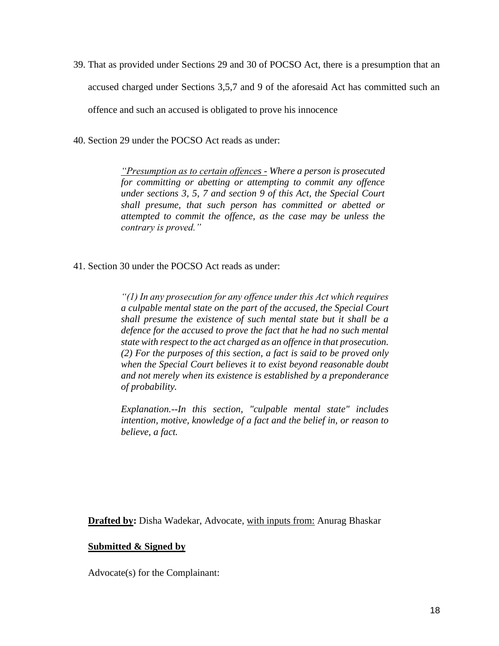39. That as provided under Sections 29 and 30 of POCSO Act, there is a presumption that an accused charged under Sections 3,5,7 and 9 of the aforesaid Act has committed such an offence and such an accused is obligated to prove his innocence

40. Section 29 under the POCSO Act reads as under:

*"Presumption as to certain offences - Where a person is prosecuted for committing or abetting or attempting to commit any offence under sections 3, 5, 7 and section 9 of this Act, the Special Court shall presume, that such person has committed or abetted or attempted to commit the offence, as the case may be unless the contrary is proved."*

41. Section 30 under the POCSO Act reads as under:

*"(1) In any prosecution for any offence under this Act which requires a culpable mental state on the part of the accused, the Special Court shall presume the existence of such mental state but it shall be a defence for the accused to prove the fact that he had no such mental state with respect to the act charged as an offence in that prosecution. (2) For the purposes of this section, a fact is said to be proved only when the Special Court believes it to exist beyond reasonable doubt and not merely when its existence is established by a preponderance of probability.*

*Explanation.--In this section, "culpable mental state" includes intention, motive, knowledge of a fact and the belief in, or reason to believe, a fact.*

**Drafted by:** Disha Wadekar, Advocate, with inputs from: Anurag Bhaskar

# **Submitted & Signed by**

Advocate(s) for the Complainant: